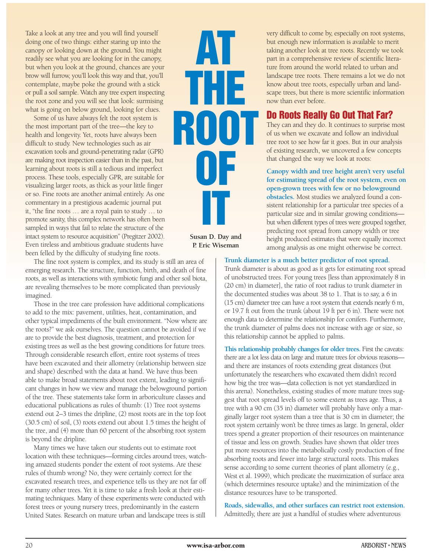Take a look at any tree and you will find yourself doing one of two things: either staring up into the canopy or looking down at the ground. You might readily see what you are looking for in the canopy, but when you look at the ground, chances are your brow will furrow, you'll look this way and that, you'll contemplate, maybe poke the ground with a stick or pull a soil sample. Watch any tree expert inspecting the root zone and you will see that look: surmising what is going on below ground, looking for clues.

Some of us have always felt the root system is the most important part of the tree—the key to health and longevity. Yet, roots have always been difficult to study. New technologies such as air excavation tools and ground-penetrating radar (GPR) are making root inspection easier than in the past, but learning about roots is still a tedious and imperfect process. These tools, especially GPR, are suitable for visualizing larger roots, as thick as your little finger or so. Fine roots are another animal entirely. As one commentary in a prestigious academic journal put it, "the fine roots … are a royal pain to study … to promote sanity, this complex network has often been sampled in ways that fail to relate the structure of the intact system to resource acquisition" (Pregitzer 2002). Even tireless and ambitious graduate students have been felled by the difficulty of studying fine roots.

The fine root system is complex, and its study is still an area of emerging research. The structure, function, birth, and death of fine roots, as well as interactions with symbiotic fungi and other soil biota, are revealing themselves to be more complicated than previously imagined.

Those in the tree care profession have additional complications to add to the mix: pavement, utilities, heat, contamination, and other typical impediments of the built environment. "Now where are the roots?" we ask ourselves. The question cannot be avoided if we are to provide the best diagnosis, treatment, and protection for existing trees as well as the best growing conditions for future trees. Through considerable research effort, entire root systems of trees have been excavated and their allometry (relationship between size and shape) described with the data at hand. We have thus been able to make broad statements about root extent, leading to significant changes in how we view and manage the belowground portion of the tree. These statements take form in arboriculture classes and educational publications as rules of thumb: (1) Tree root systems extend out 2–3 times the dripline, (2) most roots are in the top foot (30.5 cm) of soil, (3) roots extend out about 1.5 times the height of the tree, and (4) more than 60 percent of the absorbing root system is beyond the dripline.

Many times we have taken our students out to estimate root location with these techniques—forming circles around trees, watching amazed students ponder the extent of root systems. Are these rules of thumb wrong? No, they were certainly correct for the excavated research trees, and experience tells us they are not far off for many other trees. Yet it is time to take a fresh look at their estimating techniques. Many of these experiments were conducted with forest trees or young nursery trees, predominantly in the eastern United States. Research on mature urban and landscape trees is still

# **AT THE ROOT OF IT**

**Susan D. Day and P. Eric Wiseman**

very difficult to come by, especially on root systems, but enough new information is available to merit taking another look at tree roots. Recently we took part in a comprehensive review of scientific literature from around the world related to urban and landscape tree roots. There remains a lot we do not know about tree roots, especially urban and landscape trees, but there is more scientific information now than ever before.

# **Do Roots Really Go Out That Far?**

They can and they do. It continues to surprise most of us when we excavate and follow an individual tree root to see how far it goes. But in our analysis of existing research, we uncovered a few concepts that changed the way we look at roots:

**Canopy width and tree height aren't very useful for estimating spread of the root system, even on open-grown trees with few or no belowground obstacles.** Most studies we analyzed found a consistent relationship for a particular tree species of a particular size and in similar growing conditions but when different types of trees were grouped together, predicting root spread from canopy width or tree height produced estimates that were equally incorrect among analysis as one might otherwise be correct.

#### **Trunk diameter is a much better predictor of root spread.**

Trunk diameter is about as good as it gets for estimating root spread of unobstructed trees. For young trees [less than approximately 8 in (20 cm) in diameter], the ratio of root radius to trunk diameter in the documented studies was about 38 to 1. That is to say, a 6 in (15 cm) diameter tree can have a root system that extends nearly 6 m, or 19.7 ft out from the trunk (about 19 ft per 6 in). There were not enough data to determine the relationship for conifers. Furthermore, the trunk diameter of palms does not increase with age or size, so this relationship cannot be applied to palms.

**This relationship probably changes for older trees.** First the caveats: there are a lot less data on large and mature trees for obvious reasons and there are instances of roots extending great distances (but unfortunately the researchers who excavated them didn't record how big the tree was—data collection is not yet standardized in this arena). Nonetheless, existing studies of more mature trees suggest that root spread levels off to some extent as trees age. Thus, a tree with a 90 cm (35 in) diameter will probably have only a marginally larger root system than a tree that is 30 cm in diameter; the root system certainly won't be three times as large. In general, older trees spend a greater proportion of their resources on maintenance of tissue and less on growth. Studies have shown that older trees put more resources into the metabolically costly production of fine absorbing roots and fewer into large structural roots. This makes sense according to some current theories of plant allometry (e.g., West et al. 1999), which predicate the maximization of surface area (which determines resource uptake) and the minimization of the distance resources have to be transported.

**Roads, sidewalks, and other surfaces can restrict root extension.** Admittedly, there are just a handful of studies where adventurous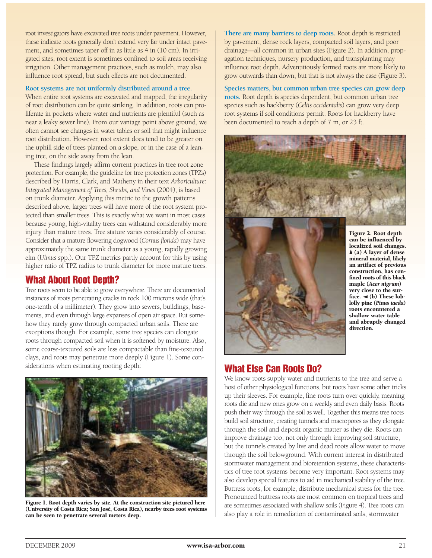root investigators have excavated tree roots under pavement. However, these indicate roots generally don't extend very far under intact pavement, and sometimes taper off in as little as 4 in (10 cm). In irrigated sites, root extent is sometimes confined to soil areas receiving irrigation. Other management practices, such as mulch, may also influence root spread, but such effects are not documented.

#### **Root systems are not uniformly distributed around a tree.**

When entire root systems are excavated and mapped, the irregularity of root distribution can be quite striking. In addition, roots can proliferate in pockets where water and nutrients are plentiful (such as near a leaky sewer line). From our vantage point above ground, we often cannot see changes in water tables or soil that might influence root distribution. However, root extent does tend to be greater on the uphill side of trees planted on a slope, or in the case of a leaning tree, on the side away from the lean.

These findings largely affirm current practices in tree root zone protection. For example, the guideline for tree protection zones (TPZs) described by Harris, Clark, and Matheny in their text *Arboriculture: Integrated Management of Trees, Shrubs, and Vines* (2004), is based on trunk diameter. Applying this metric to the growth patterns described above, larger trees will have more of the root system protected than smaller trees. This is exactly what we want in most cases because young, high-vitality trees can withstand considerably more injury than mature trees. Tree stature varies considerably of course. Consider that a mature flowering dogwood (*Cornus florida*) may have approximately the same trunk diameter as a young, rapidly growing elm (*Ulmus* spp.). Our TPZ metrics partly account for this by using higher ratio of TPZ radius to trunk diameter for more mature trees.

### **What About Root Depth?**

Tree roots seem to be able to grow everywhere. There are documented instances of roots penetrating cracks in rock 100 microns wide (that's one-tenth of a millimeter). They grow into sewers, buildings, basements, and even through large expanses of open air space. But somehow they rarely grow through compacted urban soils. There are exceptions though. For example, some tree species can elongate roots through compacted soil when it is softened by moisture. Also, some coarse-textured soils are less compactable than fine-textured clays, and roots may penetrate more deeply (Figure 1). Some considerations when estimating rooting depth:



Figure 1. Root depth varies by site. At the construction site pictured here (University of Costa Rica; San José, Costa Rica), nearby trees root systems can be seen to penetrate several meters deep.

**There are many barriers to deep roots.** Root depth is restricted by pavement, dense rock layers, compacted soil layers, and poor drainage—all common in urban sites (Figure 2). In addition, propagation techniques, nursery production, and transplanting may influence root depth. Adventitiously formed roots are more likely to grow outwards than down, but that is not always the case (Figure 3).

**Species matters, but common urban tree species can grow deep roots.** Root depth is species dependent, but common urban tree species such as hackberry (*Celtis occidentalis*) can grow very deep root systems if soil conditions permit. Roots for hackberry have been documented to reach a depth of 7 m, or 23 ft.





Figure 2. Root depth can be influenced by localized soil changes.  $\blacktriangle$  (a) A layer of dense mineral material, likely an artifact of previous construction, has confined roots of this black maple (*Acer nigrum*) very close to the surface.  $\blacktriangleleft$  (b) These loblolly pine (*Pinus taeda*) roots encountered a shallow water table and abruptly changed direction.

## **What Else Can Roots Do?**

We know roots supply water and nutrients to the tree and serve a host of other physiological functions, but roots have some other tricks up their sleeves. For example, fine roots turn over quickly, meaning roots die and new ones grow on a weekly and even daily basis. Roots push their way through the soil as well. Together this means tree roots build soil structure, creating tunnels and macropores as they elongate through the soil and deposit organic matter as they die. Roots can improve drainage too, not only through improving soil structure, but the tunnels created by live and dead roots allow water to move through the soil belowground. With current interest in distributed stormwater management and bioretention systems, these characteristics of tree root systems become very important. Root systems may also develop special features to aid in mechanical stability of the tree. Buttress roots, for example, distribute mechanical stress for the tree. Pronounced buttress roots are most common on tropical trees and are sometimes associated with shallow soils (Figure 4). Tree roots can also play a role in remediation of contaminated soils, stormwater